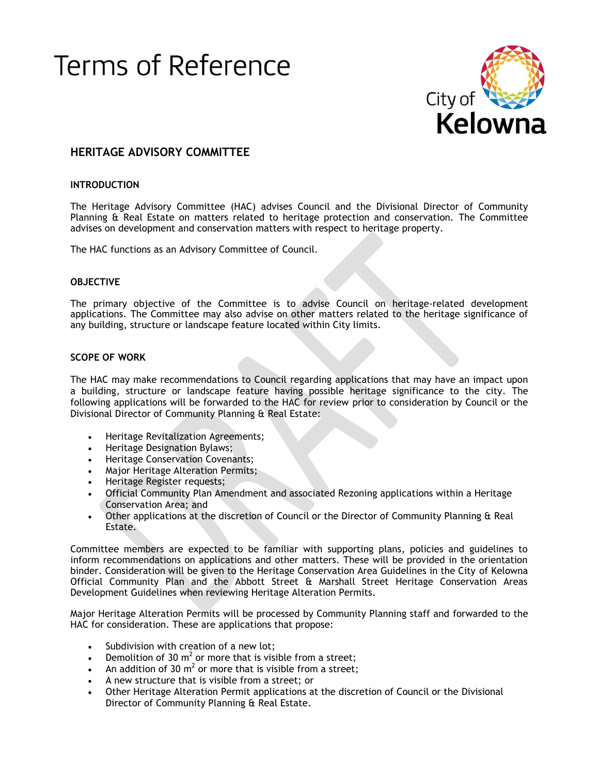# Heritage Advisory Committee Page 1 ≏rms ∩t



## **HERITAGE ADVISORY COMMITTEE**

## **INTRODUCTION**

The Heritage Advisory Committee (HAC) advises Council and the Divisional Director of Community Planning & Real Estate on matters related to heritage protection and conservation. The Committee advises on development and conservation matters with respect to heritage property.

The HAC functions as an Advisory Committee of Council.

## **OBJECTIVE**

The primary objective of the Committee is to advise Council on heritage-related development applications. The Committee may also advise on other matters related to the heritage significance of any building, structure or landscape feature located within City limits.

#### **SCOPE OF WORK**

The HAC may make recommendations to Council regarding applications that may have an impact upon a building, structure or landscape feature having possible heritage significance to the city. The following applications will be forwarded to the HAC for review prior to consideration by Council or the Divisional Director of Community Planning & Real Estate:

- Heritage Revitalization Agreements;
- Heritage Designation Bylaws;
- **•** Heritage Conservation Covenants;
- Major Heritage Alteration Permits;
- Heritage Register requests;
- Official Community Plan Amendment and associated Rezoning applications within a Heritage Conservation Area; and
- Other applications at the discretion of Council or the Director of Community Planning & Real Estate.

Committee members are expected to be familiar with supporting plans, policies and guidelines to inform recommendations on applications and other matters. These will be provided in the orientation binder. Consideration will be given to the Heritage Conservation Area Guidelines in the City of Kelowna Official Community Plan and the Abbott Street & Marshall Street Heritage Conservation Areas Development Guidelines when reviewing Heritage Alteration Permits.

Major Heritage Alteration Permits will be processed by Community Planning staff and forwarded to the HAC for consideration. These are applications that propose:

- Subdivision with creation of a new lot;
- Demolition of 30 m<sup>2</sup> or more that is visible from a street;
- An addition of 30  $m^2$  or more that is visible from a street;
- A new structure that is visible from a street; or
- Other Heritage Alteration Permit applications at the discretion of Council or the Divisional Director of Community Planning & Real Estate.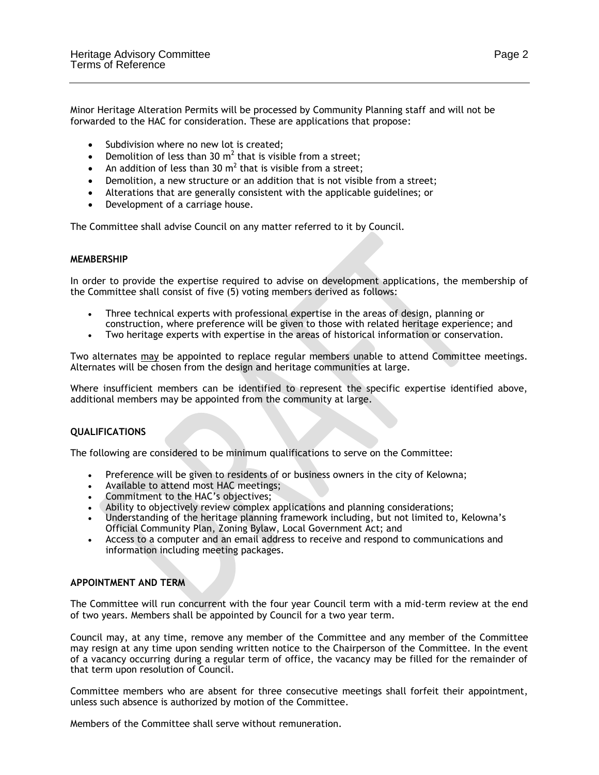Minor Heritage Alteration Permits will be processed by Community Planning staff and will not be forwarded to the HAC for consideration. These are applications that propose:

- Subdivision where no new lot is created;
- Demolition of less than 30  $m^2$  that is visible from a street;
- An addition of less than 30  $m^2$  that is visible from a street;
- Demolition, a new structure or an addition that is not visible from a street;
- Alterations that are generally consistent with the applicable guidelines; or
- Development of a carriage house.

The Committee shall advise Council on any matter referred to it by Council.

## **MEMBERSHIP**

In order to provide the expertise required to advise on development applications, the membership of the Committee shall consist of five (5) voting members derived as follows:

- Three technical experts with professional expertise in the areas of design, planning or construction, where preference will be given to those with related heritage experience; and
- Two heritage experts with expertise in the areas of historical information or conservation.

Two alternates may be appointed to replace regular members unable to attend Committee meetings. Alternates will be chosen from the design and heritage communities at large.

Where insufficient members can be identified to represent the specific expertise identified above, additional members may be appointed from the community at large.

## **QUALIFICATIONS**

The following are considered to be minimum qualifications to serve on the Committee:

- Preference will be given to residents of or business owners in the city of Kelowna;
- Available to attend most HAC meetings;
- Commitment to the HAC's objectives;
- Ability to objectively review complex applications and planning considerations;
- Understanding of the heritage planning framework including, but not limited to, Kelowna's Official Community Plan, Zoning Bylaw, Local Government Act; and
- Access to a computer and an email address to receive and respond to communications and information including meeting packages.

## **APPOINTMENT AND TERM**

The Committee will run concurrent with the four year Council term with a mid-term review at the end of two years. Members shall be appointed by Council for a two year term.

Council may, at any time, remove any member of the Committee and any member of the Committee may resign at any time upon sending written notice to the Chairperson of the Committee. In the event of a vacancy occurring during a regular term of office, the vacancy may be filled for the remainder of that term upon resolution of Council.

Committee members who are absent for three consecutive meetings shall forfeit their appointment, unless such absence is authorized by motion of the Committee.

Members of the Committee shall serve without remuneration.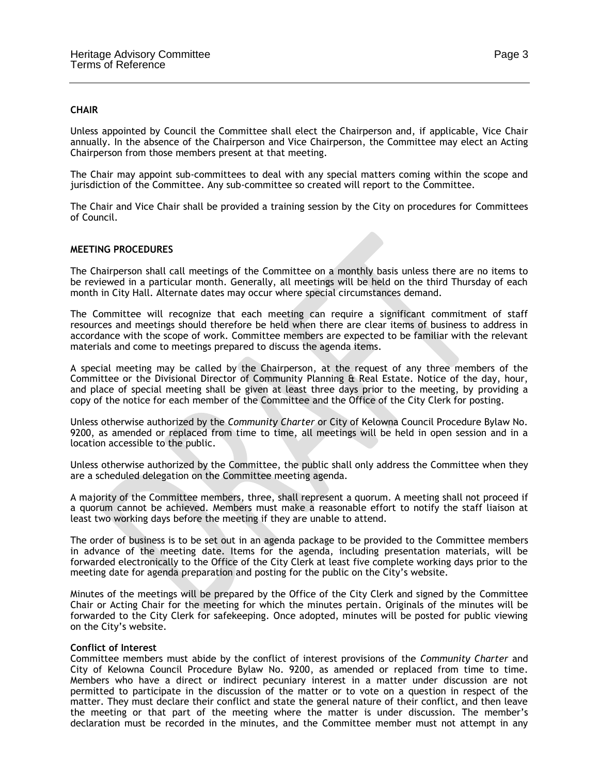#### **CHAIR**

Unless appointed by Council the Committee shall elect the Chairperson and, if applicable, Vice Chair annually. In the absence of the Chairperson and Vice Chairperson, the Committee may elect an Acting Chairperson from those members present at that meeting.

The Chair may appoint sub-committees to deal with any special matters coming within the scope and jurisdiction of the Committee. Any sub-committee so created will report to the Committee.

The Chair and Vice Chair shall be provided a training session by the City on procedures for Committees of Council.

### **MEETING PROCEDURES**

The Chairperson shall call meetings of the Committee on a monthly basis unless there are no items to be reviewed in a particular month. Generally, all meetings will be held on the third Thursday of each month in City Hall. Alternate dates may occur where special circumstances demand.

The Committee will recognize that each meeting can require a significant commitment of staff resources and meetings should therefore be held when there are clear items of business to address in accordance with the scope of work. Committee members are expected to be familiar with the relevant materials and come to meetings prepared to discuss the agenda items.

A special meeting may be called by the Chairperson, at the request of any three members of the Committee or the Divisional Director of Community Planning & Real Estate. Notice of the day, hour, and place of special meeting shall be given at least three days prior to the meeting, by providing a copy of the notice for each member of the Committee and the Office of the City Clerk for posting.

Unless otherwise authorized by the *Community Charter* or City of Kelowna Council Procedure Bylaw No. 9200, as amended or replaced from time to time, all meetings will be held in open session and in a location accessible to the public.

Unless otherwise authorized by the Committee, the public shall only address the Committee when they are a scheduled delegation on the Committee meeting agenda.

A majority of the Committee members, three, shall represent a quorum. A meeting shall not proceed if a quorum cannot be achieved. Members must make a reasonable effort to notify the staff liaison at least two working days before the meeting if they are unable to attend.

The order of business is to be set out in an agenda package to be provided to the Committee members in advance of the meeting date. Items for the agenda, including presentation materials, will be forwarded electronically to the Office of the City Clerk at least five complete working days prior to the meeting date for agenda preparation and posting for the public on the City's website.

Minutes of the meetings will be prepared by the Office of the City Clerk and signed by the Committee Chair or Acting Chair for the meeting for which the minutes pertain. Originals of the minutes will be forwarded to the City Clerk for safekeeping. Once adopted, minutes will be posted for public viewing on the City's website.

#### **Conflict of Interest**

Committee members must abide by the conflict of interest provisions of the *Community Charter* and City of Kelowna Council Procedure Bylaw No. 9200, as amended or replaced from time to time. Members who have a direct or indirect pecuniary interest in a matter under discussion are not permitted to participate in the discussion of the matter or to vote on a question in respect of the matter. They must declare their conflict and state the general nature of their conflict, and then leave the meeting or that part of the meeting where the matter is under discussion. The member's declaration must be recorded in the minutes, and the Committee member must not attempt in any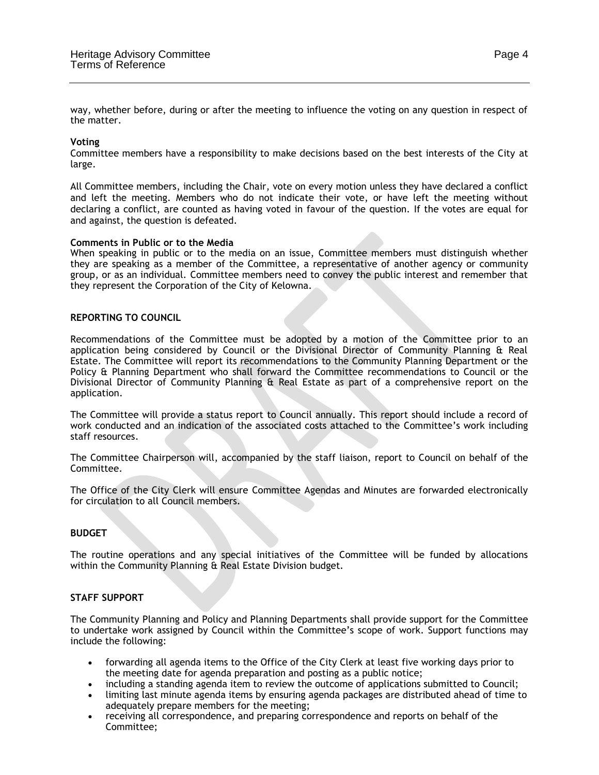way, whether before, during or after the meeting to influence the voting on any question in respect of the matter.

## **Voting**

Committee members have a responsibility to make decisions based on the best interests of the City at large.

All Committee members, including the Chair, vote on every motion unless they have declared a conflict and left the meeting. Members who do not indicate their vote, or have left the meeting without declaring a conflict, are counted as having voted in favour of the question. If the votes are equal for and against, the question is defeated.

## **Comments in Public or to the Media**

When speaking in public or to the media on an issue, Committee members must distinguish whether they are speaking as a member of the Committee, a representative of another agency or community group, or as an individual. Committee members need to convey the public interest and remember that they represent the Corporation of the City of Kelowna.

#### **REPORTING TO COUNCIL**

Recommendations of the Committee must be adopted by a motion of the Committee prior to an application being considered by Council or the Divisional Director of Community Planning & Real Estate. The Committee will report its recommendations to the Community Planning Department or the Policy & Planning Department who shall forward the Committee recommendations to Council or the Divisional Director of Community Planning & Real Estate as part of a comprehensive report on the application.

The Committee will provide a status report to Council annually. This report should include a record of work conducted and an indication of the associated costs attached to the Committee's work including staff resources.

The Committee Chairperson will, accompanied by the staff liaison, report to Council on behalf of the Committee.

The Office of the City Clerk will ensure Committee Agendas and Minutes are forwarded electronically for circulation to all Council members.

## **BUDGET**

The routine operations and any special initiatives of the Committee will be funded by allocations within the Community Planning & Real Estate Division budget.

## **STAFF SUPPORT**

The Community Planning and Policy and Planning Departments shall provide support for the Committee to undertake work assigned by Council within the Committee's scope of work. Support functions may include the following:

- forwarding all agenda items to the Office of the City Clerk at least five working days prior to the meeting date for agenda preparation and posting as a public notice;
- including a standing agenda item to review the outcome of applications submitted to Council;
- limiting last minute agenda items by ensuring agenda packages are distributed ahead of time to adequately prepare members for the meeting;
- receiving all correspondence, and preparing correspondence and reports on behalf of the Committee;